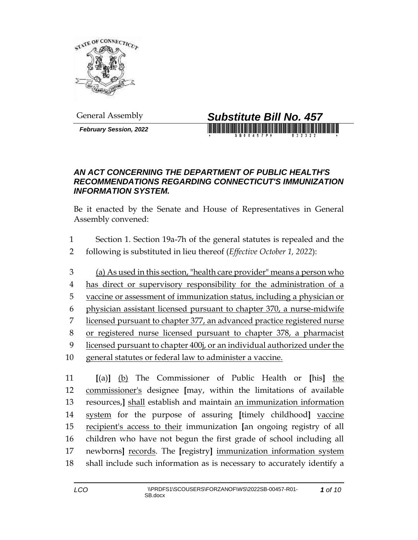

*February Session, 2022*



## *AN ACT CONCERNING THE DEPARTMENT OF PUBLIC HEALTH'S RECOMMENDATIONS REGARDING CONNECTICUT'S IMMUNIZATION INFORMATION SYSTEM.*

Be it enacted by the Senate and House of Representatives in General Assembly convened:

- Section 1. Section 19a-7h of the general statutes is repealed and the following is substituted in lieu thereof (*Effective October 1, 2022*):
- (a) As used in this section, "health care provider" means a person who has direct or supervisory responsibility for the administration of a vaccine or assessment of immunization status, including a physician or physician assistant licensed pursuant to chapter 370, a nurse-midwife licensed pursuant to chapter 377, an advanced practice registered nurse or registered nurse licensed pursuant to chapter 378, a pharmacist licensed pursuant to chapter 400j, or an individual authorized under the general statutes or federal law to administer a vaccine.

 **[**(a)**]** (b) The Commissioner of Public Health or **[**his**]** the commissioner's designee **[**may, within the limitations of available resources,**]** shall establish and maintain an immunization information system for the purpose of assuring **[**timely childhood**]** vaccine recipient's access to their immunization **[**an ongoing registry of all children who have not begun the first grade of school including all newborns**]** records. The **[**registry**]** immunization information system shall include such information as is necessary to accurately identify a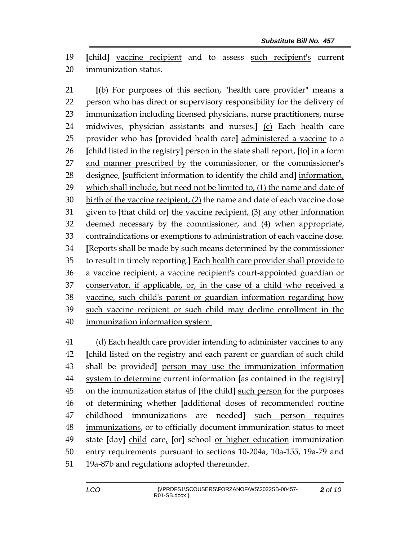**[**child**]** vaccine recipient and to assess such recipient's current immunization status.

 **[**(b) For purposes of this section, "health care provider" means a person who has direct or supervisory responsibility for the delivery of immunization including licensed physicians, nurse practitioners, nurse midwives, physician assistants and nurses.**]** (c) Each health care provider who has **[**provided health care**]** administered a vaccine to a **[**child listed in the registry**]** person in the state shall report, **[**to**]** in a form and manner prescribed by the commissioner, or the commissioner's designee, **[**sufficient information to identify the child and**]** information, which shall include, but need not be limited to, (1) the name and date of birth of the vaccine recipient, (2) the name and date of each vaccine dose given to **[**that child or**]** the vaccine recipient, (3) any other information deemed necessary by the commissioner, and (4) when appropriate, contraindications or exemptions to administration of each vaccine dose. **[**Reports shall be made by such means determined by the commissioner to result in timely reporting.**]** Each health care provider shall provide to a vaccine recipient, a vaccine recipient's court-appointed guardian or conservator, if applicable, or, in the case of a child who received a vaccine, such child's parent or guardian information regarding how such vaccine recipient or such child may decline enrollment in the immunization information system.

 (d) Each health care provider intending to administer vaccines to any **[**child listed on the registry and each parent or guardian of such child shall be provided**]** person may use the immunization information system to determine current information **[**as contained in the registry**]** on the immunization status of **[**the child**]** such person for the purposes of determining whether **[**additional doses of recommended routine childhood immunizations are needed**]** such person requires immunizations, or to officially document immunization status to meet state **[**day**]** child care, **[**or**]** school or higher education immunization entry requirements pursuant to sections 10-204a, 10a-155, 19a-79 and 19a-87b and regulations adopted thereunder.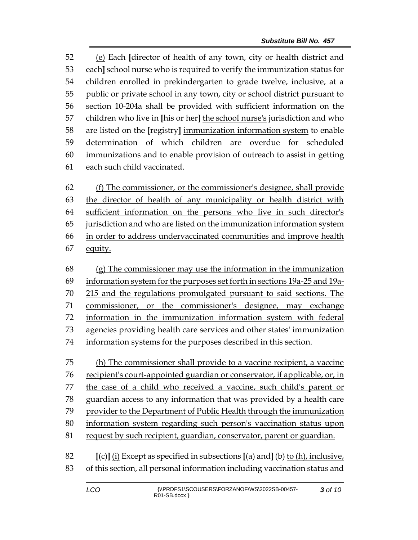(e) Each **[**director of health of any town, city or health district and each**]** school nurse who is required to verify the immunization status for children enrolled in prekindergarten to grade twelve, inclusive, at a public or private school in any town, city or school district pursuant to section 10-204a shall be provided with sufficient information on the children who live in **[**his or her**]** the school nurse's jurisdiction and who are listed on the **[**registry**]** immunization information system to enable determination of which children are overdue for scheduled immunizations and to enable provision of outreach to assist in getting each such child vaccinated.

 (f) The commissioner, or the commissioner's designee, shall provide the director of health of any municipality or health district with sufficient information on the persons who live in such director's jurisdiction and who are listed on the immunization information system in order to address undervaccinated communities and improve health equity.

 (g) The commissioner may use the information in the immunization information system for the purposes set forth in sections 19a-25 and 19a- 215 and the regulations promulgated pursuant to said sections. The commissioner, or the commissioner's designee, may exchange information in the immunization information system with federal agencies providing health care services and other states' immunization information systems for the purposes described in this section.

 (h) The commissioner shall provide to a vaccine recipient, a vaccine recipient's court-appointed guardian or conservator, if applicable, or, in the case of a child who received a vaccine, such child's parent or guardian access to any information that was provided by a health care provider to the Department of Public Health through the immunization information system regarding such person's vaccination status upon request by such recipient, guardian, conservator, parent or guardian.

 **[**(c)**]** (i) Except as specified in subsections **[**(a) and**]** (b) to (h), inclusive, of this section, all personal information including vaccination status and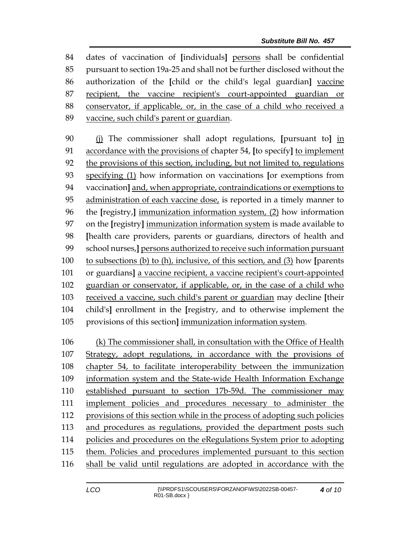dates of vaccination of **[**individuals**]** persons shall be confidential pursuant to section 19a-25 and shall not be further disclosed without the authorization of the **[**child or the child's legal guardian**]** vaccine recipient, the vaccine recipient's court-appointed guardian or conservator, if applicable, or, in the case of a child who received a vaccine, such child's parent or guardian.

 (j) The commissioner shall adopt regulations, **[**pursuant to**]** in accordance with the provisions of chapter 54, **[**to specify**]** to implement the provisions of this section, including, but not limited to, regulations specifying (1) how information on vaccinations **[**or exemptions from vaccination**]** and, when appropriate, contraindications or exemptions to administration of each vaccine dose, is reported in a timely manner to the **[**registry,**]** immunization information system, (2) how information on the **[**registry**]** immunization information system is made available to **[**health care providers, parents or guardians, directors of health and school nurses,**]** persons authorized to receive such information pursuant to subsections (b) to (h), inclusive, of this section, and (3) how **[**parents or guardians**]** a vaccine recipient, a vaccine recipient's court-appointed guardian or conservator, if applicable, or, in the case of a child who received a vaccine, such child's parent or guardian may decline **[**their child's**]** enrollment in the **[**registry, and to otherwise implement the provisions of this section**]** immunization information system.

 (k) The commissioner shall, in consultation with the Office of Health Strategy, adopt regulations, in accordance with the provisions of chapter 54, to facilitate interoperability between the immunization information system and the State-wide Health Information Exchange established pursuant to section 17b-59d. The commissioner may implement policies and procedures necessary to administer the provisions of this section while in the process of adopting such policies and procedures as regulations, provided the department posts such policies and procedures on the eRegulations System prior to adopting them. Policies and procedures implemented pursuant to this section shall be valid until regulations are adopted in accordance with the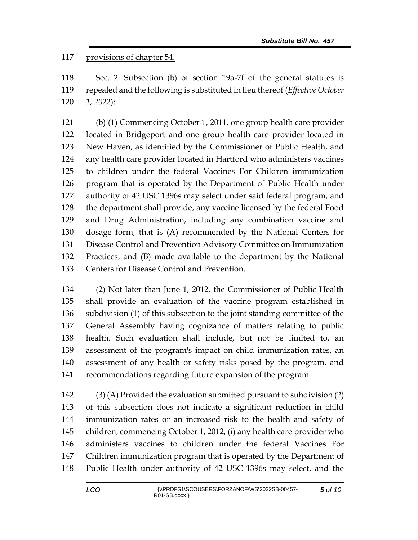## provisions of chapter 54.

 Sec. 2. Subsection (b) of section 19a-7f of the general statutes is repealed and the following is substituted in lieu thereof (*Effective October 1, 2022*):

 (b) (1) Commencing October 1, 2011, one group health care provider located in Bridgeport and one group health care provider located in New Haven, as identified by the Commissioner of Public Health, and any health care provider located in Hartford who administers vaccines to children under the federal Vaccines For Children immunization program that is operated by the Department of Public Health under authority of 42 USC 1396s may select under said federal program, and the department shall provide, any vaccine licensed by the federal Food and Drug Administration, including any combination vaccine and dosage form, that is (A) recommended by the National Centers for Disease Control and Prevention Advisory Committee on Immunization Practices, and (B) made available to the department by the National Centers for Disease Control and Prevention.

 (2) Not later than June 1, 2012, the Commissioner of Public Health shall provide an evaluation of the vaccine program established in subdivision (1) of this subsection to the joint standing committee of the General Assembly having cognizance of matters relating to public health. Such evaluation shall include, but not be limited to, an assessment of the program's impact on child immunization rates, an assessment of any health or safety risks posed by the program, and recommendations regarding future expansion of the program.

 (3) (A) Provided the evaluation submitted pursuant to subdivision (2) of this subsection does not indicate a significant reduction in child immunization rates or an increased risk to the health and safety of children, commencing October 1, 2012, (i) any health care provider who administers vaccines to children under the federal Vaccines For Children immunization program that is operated by the Department of Public Health under authority of 42 USC 1396s may select, and the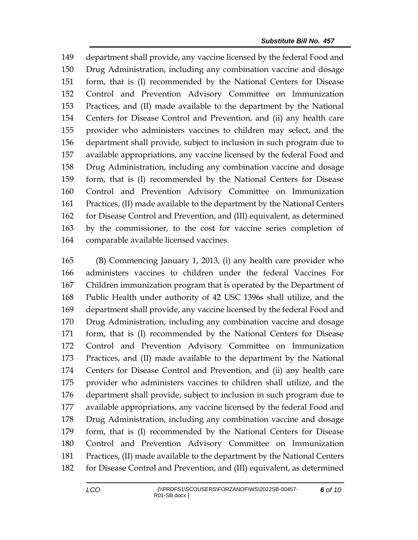department shall provide, any vaccine licensed by the federal Food and Drug Administration, including any combination vaccine and dosage form, that is (I) recommended by the National Centers for Disease Control and Prevention Advisory Committee on Immunization Practices, and (II) made available to the department by the National Centers for Disease Control and Prevention, and (ii) any health care provider who administers vaccines to children may select, and the department shall provide, subject to inclusion in such program due to available appropriations, any vaccine licensed by the federal Food and Drug Administration, including any combination vaccine and dosage form, that is (I) recommended by the National Centers for Disease Control and Prevention Advisory Committee on Immunization Practices, (II) made available to the department by the National Centers for Disease Control and Prevention, and (III) equivalent, as determined by the commissioner, to the cost for vaccine series completion of comparable available licensed vaccines.

 (B) Commencing January 1, 2013, (i) any health care provider who administers vaccines to children under the federal Vaccines For Children immunization program that is operated by the Department of Public Health under authority of 42 USC 1396s shall utilize, and the department shall provide, any vaccine licensed by the federal Food and Drug Administration, including any combination vaccine and dosage form, that is (I) recommended by the National Centers for Disease Control and Prevention Advisory Committee on Immunization Practices, and (II) made available to the department by the National Centers for Disease Control and Prevention, and (ii) any health care provider who administers vaccines to children shall utilize, and the department shall provide, subject to inclusion in such program due to available appropriations, any vaccine licensed by the federal Food and Drug Administration, including any combination vaccine and dosage form, that is (I) recommended by the National Centers for Disease Control and Prevention Advisory Committee on Immunization Practices, (II) made available to the department by the National Centers for Disease Control and Prevention, and (III) equivalent, as determined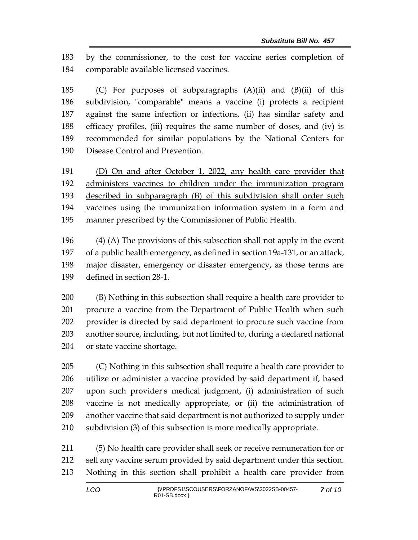by the commissioner, to the cost for vaccine series completion of comparable available licensed vaccines.

 (C) For purposes of subparagraphs (A)(ii) and (B)(ii) of this subdivision, "comparable" means a vaccine (i) protects a recipient against the same infection or infections, (ii) has similar safety and efficacy profiles, (iii) requires the same number of doses, and (iv) is recommended for similar populations by the National Centers for Disease Control and Prevention.

 (D) On and after October 1, 2022, any health care provider that administers vaccines to children under the immunization program described in subparagraph (B) of this subdivision shall order such vaccines using the immunization information system in a form and manner prescribed by the Commissioner of Public Health.

 (4) (A) The provisions of this subsection shall not apply in the event of a public health emergency, as defined in section 19a-131, or an attack, major disaster, emergency or disaster emergency, as those terms are defined in section 28-1.

 (B) Nothing in this subsection shall require a health care provider to procure a vaccine from the Department of Public Health when such provider is directed by said department to procure such vaccine from another source, including, but not limited to, during a declared national or state vaccine shortage.

 (C) Nothing in this subsection shall require a health care provider to utilize or administer a vaccine provided by said department if, based upon such provider's medical judgment, (i) administration of such vaccine is not medically appropriate, or (ii) the administration of another vaccine that said department is not authorized to supply under subdivision (3) of this subsection is more medically appropriate.

 (5) No health care provider shall seek or receive remuneration for or sell any vaccine serum provided by said department under this section. Nothing in this section shall prohibit a health care provider from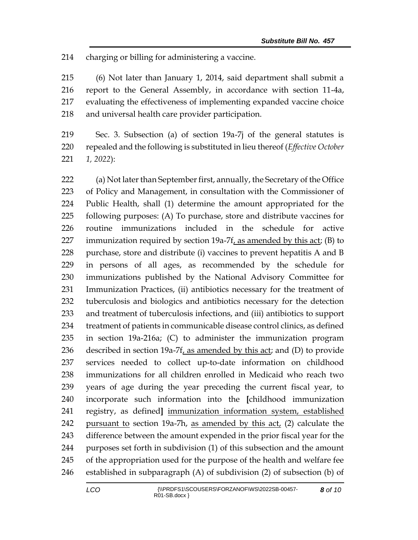charging or billing for administering a vaccine.

 (6) Not later than January 1, 2014, said department shall submit a report to the General Assembly, in accordance with section 11-4a, evaluating the effectiveness of implementing expanded vaccine choice and universal health care provider participation.

 Sec. 3. Subsection (a) of section 19a-7j of the general statutes is repealed and the following is substituted in lieu thereof (*Effective October 1, 2022*):

 (a) Not later than September first, annually, the Secretary of the Office of Policy and Management, in consultation with the Commissioner of Public Health, shall (1) determine the amount appropriated for the following purposes: (A) To purchase, store and distribute vaccines for routine immunizations included in the schedule for active immunization required by section 19a-7f, as amended by this act; (B) to purchase, store and distribute (i) vaccines to prevent hepatitis A and B in persons of all ages, as recommended by the schedule for immunizations published by the National Advisory Committee for Immunization Practices, (ii) antibiotics necessary for the treatment of tuberculosis and biologics and antibiotics necessary for the detection and treatment of tuberculosis infections, and (iii) antibiotics to support treatment of patients in communicable disease control clinics, as defined in section 19a-216a; (C) to administer the immunization program described in section 19a-7f, as amended by this act; and (D) to provide services needed to collect up-to-date information on childhood immunizations for all children enrolled in Medicaid who reach two years of age during the year preceding the current fiscal year, to incorporate such information into the **[**childhood immunization registry, as defined**]** immunization information system, established 242 pursuant to section 19a-7h, as amended by this act, (2) calculate the difference between the amount expended in the prior fiscal year for the purposes set forth in subdivision (1) of this subsection and the amount of the appropriation used for the purpose of the health and welfare fee established in subparagraph (A) of subdivision (2) of subsection (b) of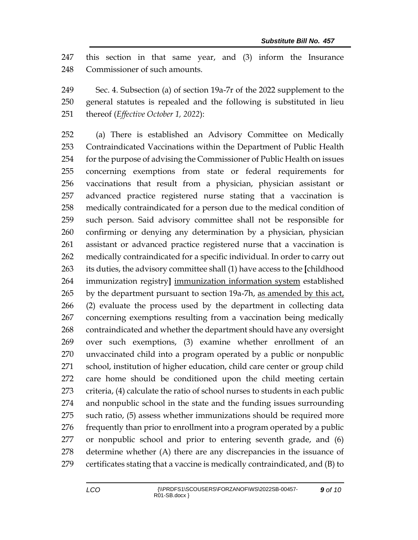this section in that same year, and (3) inform the Insurance Commissioner of such amounts.

 Sec. 4. Subsection (a) of section 19a-7r of the 2022 supplement to the general statutes is repealed and the following is substituted in lieu thereof (*Effective October 1, 2022*):

 (a) There is established an Advisory Committee on Medically Contraindicated Vaccinations within the Department of Public Health for the purpose of advising the Commissioner of Public Health on issues concerning exemptions from state or federal requirements for vaccinations that result from a physician, physician assistant or advanced practice registered nurse stating that a vaccination is medically contraindicated for a person due to the medical condition of such person. Said advisory committee shall not be responsible for confirming or denying any determination by a physician, physician assistant or advanced practice registered nurse that a vaccination is medically contraindicated for a specific individual. In order to carry out its duties, the advisory committee shall (1) have access to the **[**childhood immunization registry**]** immunization information system established by the department pursuant to section 19a-7h, as amended by this act, (2) evaluate the process used by the department in collecting data concerning exemptions resulting from a vaccination being medically contraindicated and whether the department should have any oversight over such exemptions, (3) examine whether enrollment of an unvaccinated child into a program operated by a public or nonpublic school, institution of higher education, child care center or group child care home should be conditioned upon the child meeting certain criteria, (4) calculate the ratio of school nurses to students in each public and nonpublic school in the state and the funding issues surrounding such ratio, (5) assess whether immunizations should be required more frequently than prior to enrollment into a program operated by a public or nonpublic school and prior to entering seventh grade, and (6) determine whether (A) there are any discrepancies in the issuance of certificates stating that a vaccine is medically contraindicated, and (B) to